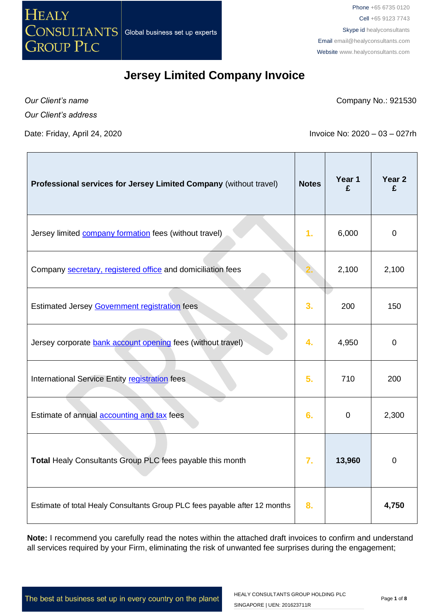

*Our Client's name*

Company No.: 921530

*Our Client's address*

Date: Friday, April 24, 2020 **Invoice No: 2020** – 03 – 027rh

| Professional services for Jersey Limited Company (without travel)          | <b>Notes</b>   | Year 1<br>£ | Year 2<br>£ |
|----------------------------------------------------------------------------|----------------|-------------|-------------|
| Jersey limited company formation fees (without travel)                     | 1 <sub>r</sub> | 6,000       | $\mathbf 0$ |
| Company secretary, registered office and domiciliation fees                |                | 2,100       | 2,100       |
| Estimated Jersey Government registration fees                              | 3.             | 200         | 150         |
| Jersey corporate bank account opening fees (without travel)                | 4.             | 4,950       | $\mathbf 0$ |
| International Service Entity registration fees                             | 5.             | 710         | 200         |
| Estimate of annual accounting and tax fees                                 | 6.             | $\mathbf 0$ | 2,300       |
| Total Healy Consultants Group PLC fees payable this month                  | 7.             | 13,960      | $\mathbf 0$ |
| Estimate of total Healy Consultants Group PLC fees payable after 12 months | 8.             |             | 4,750       |

**Note:** I recommend you carefully read the notes within the attached draft invoices to confirm and understand all services required by your Firm, eliminating the risk of unwanted fee surprises during the engagement;

The best at business set up in every country on the planet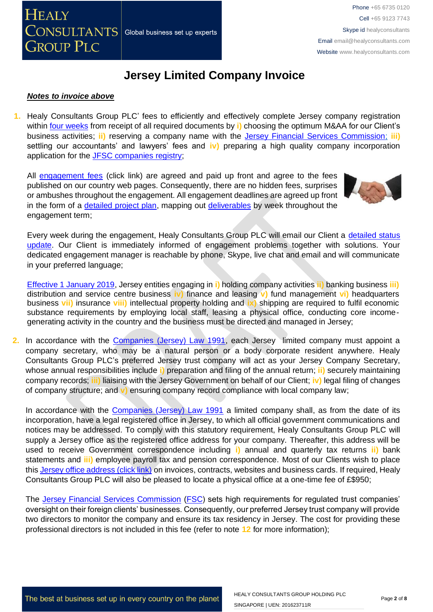

#### *Notes to invoice above*

**1.** Healy Consultants Group PLC' fees to efficiently and effectively complete Jersey company registration within [four weeks](http://www.healyconsultants.com/jersey-company-registration/fees-timelines/) from receipt of all required documents by **i)** choosing the optimum M&AA for our Client's business activities; **ii)** reserving a company name with the [Jersey Financial Services Commission;](http://www.jerseyfsc.org/registry/) **iii)** settling our accountants' and lawyers' fees and **iv)** preparing a high quality company incorporation application for the [JFSC companies registry;](http://www.jerseyfsc.org/registry/)

All [engagement fees](http://www.healyconsultants.com/company-registration-fees/) (click link) are agreed and paid up front and agree to the fees published on our country web pages. Consequently, there are no hidden fees, surprises or ambushes throughout the engagement. All engagement deadlines are agreed up front in the form of a [detailed project plan,](http://www.healyconsultants.com/index-important-links/example-project-plan/) mapping out [deliverables](http://www.healyconsultants.com/deliverables-to-our-clients/) by week throughout the engagement term;



Every week during the engagement, Healy Consultants Group PLC will email our Client a [detailed status](http://www.healyconsultants.com/index-important-links/weekly-engagement-status-email/)  [update.](http://www.healyconsultants.com/index-important-links/weekly-engagement-status-email/) Our Client is immediately informed of engagement problems together with solutions. Your dedicated engagement manager is reachable by phone, Skype, live chat and email and will communicate in your preferred language;

[Effective 1 January 2019,](https://www.gov.je/TaxesMoney/IncomeTax/Companies/Guidelines/Pages/EconomicSubstanceForCompanies.aspx) Jersey entities engaging in **i)** holding company activities **ii)** banking business **iii)** distribution and service centre business **iv)** finance and leasing **v)** fund management **vi)** headquarters business **vii)** insurance **viii)** intellectual property holding and **ix)** shipping are required to fulfil economic substance requirements by employing local staff, leasing a physical office, conducting core incomegenerating activity in the country and the business must be directed and managed in Jersey;

**2.** In accordance with the [Companies \(Jersey\) Law 1991,](https://www.jerseylaw.je/laws/revised/Pages/13.125.aspx) each Jersey limited company must appoint a company secretary, who may be a natural person or a body corporate resident anywhere. Healy Consultants Group PLC's preferred Jersey trust company will act as your Jersey Company Secretary, whose annual responsibilities include **i)** preparation and filing of the annual return; **ii)** securely maintaining company records; **iii)** liaising with the Jersey Government on behalf of our Client; **iv)** legal filing of changes of company structure; and **v)** ensuring company record compliance with local company law;

In accordance with the [Companies \(Jersey\) Law 1991](http://www.jerseylaw.je/Law/display.aspx?url=lawsinforce%2fconsolidated%2f13%2f13.125_CompaniesLaw1991_RevisedEdition_2January2014.htm) a limited company shall, as from the date of its incorporation, have a legal registered office in Jersey, to which all official government communications and notices may be addressed. To comply with this statutory requirement, Healy Consultants Group PLC will supply a Jersey office as the registered office address for your company. Thereafter, this address will be used to receive Government correspondence including **i)** annual and quarterly tax returns **ii)** bank statements and **iii)** employee payroll tax and pension correspondence. Most of our Clients wish to place this [Jersey office address \(click link\)](http://www.healyconsultants.com/virtual-office/) on invoices, contracts, websites and business cards. If required, Healy Consultants Group PLC will also be pleased to locate a physical office at a one-time fee of £\$950;

The Jersey Financial [Services Commission](https://www.jerseyfsc.org/) [\(FSC\)](http://www.jerseyfsc.org/) sets high requirements for regulated trust companies' oversight on their foreign clients' businesses. Consequently, our preferred Jersey trust company will provide two directors to monitor the company and ensure its tax residency in Jersey. The cost for providing these professional directors is not included in this fee (refer to note **12** for more information);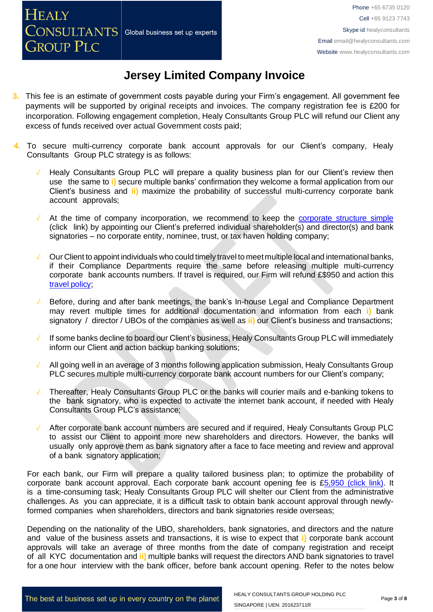- **3.** This fee is an estimate of government costs payable during your Firm's engagement. All government fee payments will be supported by original receipts and invoices. The company registration fee is £200 for incorporation. Following engagement completion, Healy Consultants Group PLC will refund our Client any excess of funds received over actual Government costs paid;
- **4.** To secure multi-currency corporate bank account approvals for our Client's company, Healy Consultants Group PLC strategy is as follows:
	- Healy Consultants Group PLC will prepare a quality business plan for our Client's review then use the same to **i)** secure multiple banks' confirmation they welcome a formal application from our Client's business and **ii)** maximize the probability of successful multi-currency corporate bank account approvals;
	- At the time of company incorporation, we recommend to keep the [corporate](https://www.healyconsultants.com/about-us/complex-client-engagements/simplify-business-setup/) structure simple (click link) by appointing our Client's preferred individual shareholder(s) and director(s) and bank signatories – no corporate entity, nominee, trust, or tax haven holding company;
	- ✓ Our Client to appoint individuals who could timely travel to meetmultiple local and international banks, if their Compliance Departments require the same before releasing multiple multi-currency corporate bank accounts numbers. If travel is required, our Firm will refund £\$950 and action this travel [policy;](https://www.healyconsultants.com/international-banking/corporate-accounts/meet-bank-officer/)
	- Before, during and after bank meetings, the bank's In-house Legal and Compliance Department may revert multiple times for additional documentation and information from each **i)** bank signatory / director / UBOs of the companies as well as **ii)** our Client's business and transactions;
	- If some banks decline to board our Client's business, Healy Consultants Group PLC will immediately inform our Client and action backup banking solutions;
	- All going well in an average of 3 months following application submission, Healy Consultants Group PLC secures multiple multi-currency corporate bank account numbers for our Client's company;
	- Thereafter, Healy Consultants Group PLC or the banks will courier mails and e-banking tokens to the bank signatory, who is expected to activate the internet bank account, if needed with Healy Consultants Group PLC's assistance;
	- After corporate bank account numbers are secured and if required, Healy Consultants Group PLC to assist our Client to appoint more new shareholders and directors. However, the banks will usually only approve them as bank signatory after a face to face meeting and review and approval of a bank signatory application;

For each bank, our Firm will prepare a quality tailored business plan; to optimize the probability of corporate bank account approval. Each corporate bank account opening fee is [£5,950](https://www.healyconsultants.com/global-corporate-banking-for-resident-company/) (click link). It is a time-consuming task; Healy Consultants Group PLC will shelter our Client from the administrative challenges. As you can appreciate, it is a difficult task to obtain bank account approval through newlyformed companies when shareholders, directors and bank signatories reside overseas;

Depending on the nationality of the UBO, shareholders, bank signatories, and directors and the nature and value of the business assets and transactions, it is wise to expect that **i)** corporate bank account approvals will take an average of three months from the date of company registration and receipt of all KYC documentation and **ii)** multiple banks will request the directors AND bank signatories to travel for a one hour interview with the bank officer, before bank account opening. Refer to the notes below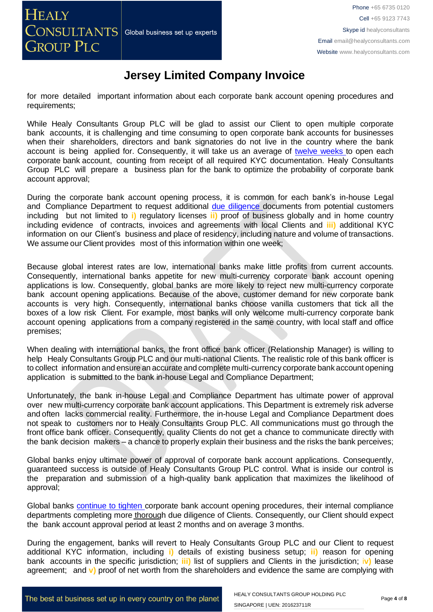for more detailed important information about each corporate bank account opening procedures and requirements;

While Healy Consultants Group PLC will be glad to assist our Client to open multiple corporate bank accounts, it is challenging and time consuming to open corporate bank accounts for businesses when their shareholders, directors and bank signatories do not live in the country where the bank account is being applied for. Consequently, it will take us an average of twelve [weeks](http://www.healyconsultants.com/international-banking/bitcoin-business-bank-account/) to open each corporate bank account, counting from receipt of all required KYC documentation. Healy Consultants Group PLC will prepare a business plan for the bank to optimize the probability of corporate bank account approval;

During the corporate bank account opening process, it is common for each bank's in-house Legal and Compliance Department to request additional due [diligence](http://www.healyconsultants.com/due-diligence/) documents from potential customers including but not limited to **i)** regulatory licenses **ii)** proof of business globally and in home country including evidence of contracts, invoices and agreements with local Clients and **iii)** additional KYC information on our Client's business and place of residency, including nature and volume of transactions. We assume our Client provides most of this information within one week;

Because global interest rates are low, international banks make little profits from current accounts. Consequently, international banks appetite for new multi-currency corporate bank account opening applications is low. Consequently, global banks are more likely to reject new multi-currency corporate bank account opening applications. Because of the above, customer demand for new corporate bank accounts is very high. Consequently, international banks choose vanilla customers that tick all the boxes of a low risk Client. For example, most banks will only welcome multi-currency corporate bank account opening applications from a company registered in the same country, with local staff and office premises;

When dealing with international banks, the front office bank officer (Relationship Manager) is willing to help Healy Consultants Group PLC and our multi-national Clients. The realistic role of this bank officer is to collect information and ensure an accurate and complete multi-currency corporate bank account opening application is submitted to the bank in-house Legal and Compliance Department;

Unfortunately, the bank in-house Legal and Compliance Department has ultimate power of approval over new multi-currency corporate bank account applications. This Department is extremely risk adverse and often lacks commercial reality. Furthermore, the in-house Legal and Compliance Department does not speak to customers nor to Healy Consultants Group PLC. All communications must go through the front office bank officer. Consequently, quality Clients do not get a chance to communicate directly with the bank decision makers – a chance to properly explain their business and the risks the bank perceives;

Global banks enjoy ultimate power of approval of corporate bank account applications. Consequently, guaranteed success is outside of Healy Consultants Group PLC control. What is inside our control is the preparation and submission of a high-quality bank application that maximizes the likelihood of approval;

Global banks [continue](https://www.healyconsultants.com/international-banking/opening-corporate-bank-accounts/) to tighten corporate bank account opening procedures, their internal compliance departments completing more thorough due diligence of Clients. Consequently, our Client should expect the bank account approval period at least 2 months and on average 3 months.

During the engagement, banks will revert to Healy Consultants Group PLC and our Client to request additional KYC information, including **i)** details of existing business setup; **ii)** reason for opening bank accounts in the specific jurisdiction; **iii)** list of suppliers and Clients in the jurisdiction; i**v)** lease agreement; and **v)** proof of net worth from the shareholders and evidence the same are complying with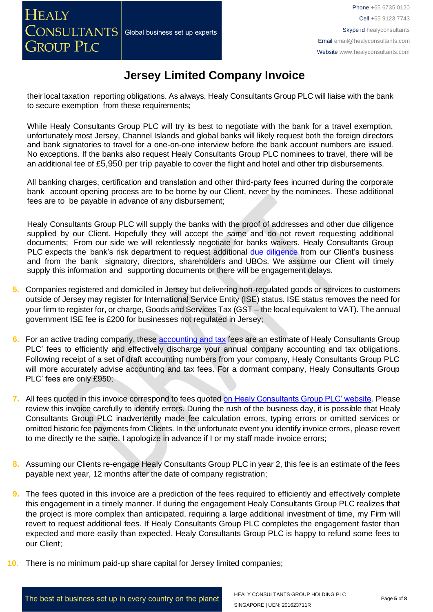their local taxation reporting obligations. As always, Healy Consultants Group PLC will liaise with the bank to secure exemption from these requirements;

While Healy Consultants Group PLC will try its best to negotiate with the bank for a travel exemption, unfortunately most Jersey, Channel Islands and global banks will likely request both the foreign directors and bank signatories to travel for a one-on-one interview before the bank account numbers are issued. No exceptions. If the banks also request Healy Consultants Group PLC nominees to travel, there will be an additional fee of £5,950 per trip payable to cover the flight and hotel and other trip disbursements.

All banking charges, certification and translation and other third-party fees incurred during the corporate bank account opening process are to be borne by our Client, never by the nominees. These additional fees are to be payable in advance of any disbursement;

Healy Consultants Group PLC will supply the banks with the proof of addresses and other due diligence supplied by our Client. Hopefully they will accept the same and do not revert requesting additional documents; From our side we will relentlessly negotiate for banks waivers. Healy Consultants Group PLC expects the bank's risk department to request additional due [diligence](http://www.healyconsultants.com/due-diligence/) from our Client's business and from the bank signatory, directors, shareholders and UBOs. We assume our Client will timely supply this information and supporting documents or there will be engagement delays.

- **5.** Companies registered and domiciled in Jersey but delivering non-regulated goods or services to customers outside of Jersey may register for International Service Entity (ISE) status. ISE status removes the need for your firm to register for, or charge, Goods and Services Tax (GST – the local equivalent to VAT). The annual government ISE fee is £200 for businesses not regulated in Jersey;
- **6.** For an active trading company, these [accounting and tax](http://www.healyconsultants.com/jersey-company-registration/accounting-legal/) fees are an estimate of Healy Consultants Group PLC' fees to efficiently and effectively discharge your annual company accounting and tax obligations. Following receipt of a set of draft accounting numbers from your company, Healy Consultants Group PLC will more accurately advise accounting and tax fees. For a dormant company, Healy Consultants Group PLC' fees are only £950;
- **7.** All fees quoted in this invoice correspond to fees quoted [on Healy Consultants Group PLC' website.](http://www.healyconsultants.com/company-registration-fees/) Please review this invoice carefully to identify errors. During the rush of the business day, it is possible that Healy Consultants Group PLC inadvertently made fee calculation errors, typing errors or omitted services or omitted historic fee payments from Clients. In the unfortunate event you identify invoice errors, please revert to me directly re the same. I apologize in advance if I or my staff made invoice errors;
- **8.** Assuming our Clients re-engage Healy Consultants Group PLC in year 2, this fee is an estimate of the fees payable next year, 12 months after the date of company registration;
- **9.** The fees quoted in this invoice are a prediction of the fees required to efficiently and effectively complete this engagement in a timely manner. If during the engagement Healy Consultants Group PLC realizes that the project is more complex than anticipated, requiring a large additional investment of time, my Firm will revert to request additional fees. If Healy Consultants Group PLC completes the engagement faster than expected and more easily than expected, Healy Consultants Group PLC is happy to refund some fees to our Client;
- **10.** There is no minimum paid-up share capital for Jersey limited companies;

The best at business set up in every country on the planet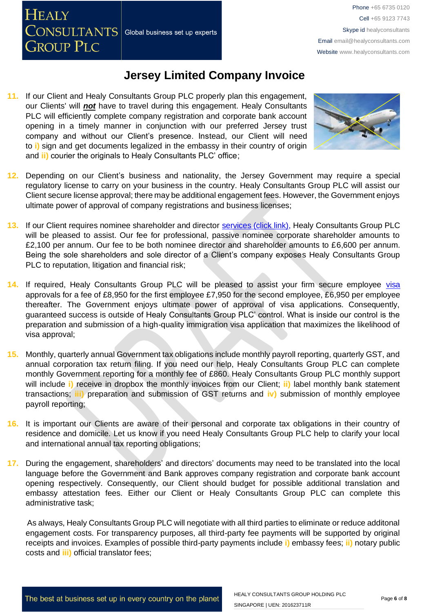**HEALY** CONSULTANTS Global business set up experts **GROUP PLC** 

### **Jersey Limited Company Invoice**

**11.** If our Client and Healy Consultants Group PLC properly plan this engagement, our Clients' will *not* have to travel during this engagement. Healy Consultants PLC will efficiently complete company registration and corporate bank account opening in a timely manner in conjunction with our preferred Jersey trust company and without our Client's presence. Instead, our Client will need to **i)** sign and get documents legalized in the embassy in their country of origin and **ii)** courier the originals to Healy Consultants PLC' office;



- **12.** Depending on our Client's business and nationality, the Jersey Government may require a special regulatory license to carry on your business in the country. Healy Consultants Group PLC will assist our Client secure license approval; there may be additional engagement fees. However, the Government enjoys ultimate power of approval of company registrations and business licenses;
- 13. If our Client requires nominee shareholder and director [services \(click link\),](http://www.healyconsultants.com/corporate-outsourcing-services/nominee-shareholders-directors/) Healy Consultants Group PLC will be pleased to assist. Our fee for professional, passive nominee corporate shareholder amounts to £2,100 per annum. Our fee to be both nominee director and shareholder amounts to £6,600 per annum. Being the sole shareholders and sole director of a Client's company exposes Healy Consultants Group PLC to reputation, litigation and financial risk;
- 14. If required, Healy Consultants Group PLC will be pleased to assist your firm secure employee [visa](http://www.healyconsultants.com/jersey-company-registration/formation-support-services/) approvals for a fee of £8,950 for the first employee £7,950 for the second employee, £6,950 per employee thereafter. The Government enjoys ultimate power of approval of visa applications. Consequently, guaranteed success is outside of Healy Consultants Group PLC' control. What is inside our control is the preparation and submission of a high-quality immigration visa application that maximizes the likelihood of visa approval;
- **15.** Monthly, quarterly annual Government tax obligations include monthly payroll reporting, quarterly GST, and annual corporation tax return filing. If you need our help, Healy Consultants Group PLC can complete monthly Government reporting for a monthly fee of £860. Healy Consultants Group PLC monthly support will include **i)** receive in dropbox the monthly invoices from our Client; **ii)** label monthly bank statement transactions; **iii)** preparation and submission of GST returns and **iv)** submission of monthly employee payroll reporting;
- **16.** It is important our Clients are aware of their personal and corporate tax obligations in their country of residence and domicile. Let us know if you need Healy Consultants Group PLC help to clarify your local and international annual tax reporting obligations;
- **17.** During the engagement, shareholders' and directors' documents may need to be translated into the local language before the Government and Bank approves company registration and corporate bank account opening respectively. Consequently, our Client should budget for possible additional translation and embassy attestation fees. Either our Client or Healy Consultants Group PLC can complete this administrative task;

As always, Healy Consultants Group PLC will negotiate with all third parties to eliminate or reduce additonal engagement costs. For transparency purposes, all third-party fee payments will be supported by original receipts and invoices. Examples of possible third-party payments include **i)** embassy fees; **ii)** notary public costs and **iii)** official translator fees;

The best at business set up in every country on the planet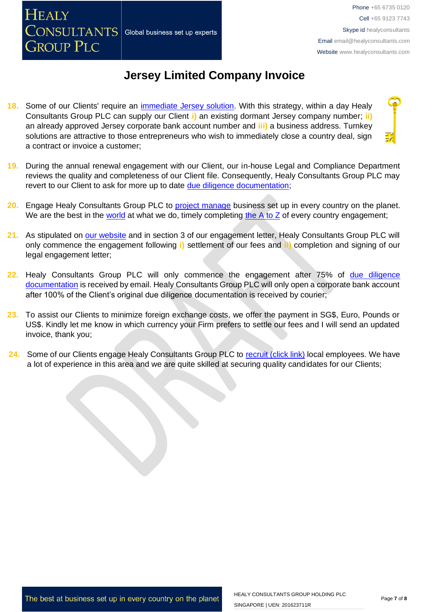Phone +65 6735 0120 Cell +65 9123 7743 Skype id healyconsultants Email [email@healyconsultants.com](mailto:EMAIL@HEALYCONSULTANTS.COM) Website [www.healyconsultants.com](http://www.healyconsultants.com/)

## **Jersey Limited Company Invoice**

**18.** Some of our Clients' require an [immediate Jersey solution.](http://www.healyconsultants.com/turnkey-solutions/) With this strategy, within a day Healy Consultants Group PLC can supply our Client **i)** an existing dormant Jersey company number; **ii)** an already approved Jersey corporate bank account number and **iii)** a business address. Turnkey solutions are attractive to those entrepreneurs who wish to immediately close a country deal, sign a contract or invoice a customer;

Global business set up experts

**HEALY** 

CONSULTANTS

**GROUP PLC** 

- **19.** During the annual renewal engagement with our Client, our in-house Legal and Compliance Department reviews the quality and completeness of our Client file. Consequently, Healy Consultants Group PLC may revert to our Client to ask for more up to date [due diligence documentation;](http://www.healyconsultants.com/due-diligence/)
- **20.** Engage Healy Consultants Group PLC to [project manage](http://www.healyconsultants.com/project-manage-engagements/) business set up in every country on the planet. We are the best in the [world](http://www.healyconsultants.com/best-in-the-world/) at what we do, timely completing the  $A$  to  $Z$  of every country engagement;
- **21.** As stipulated on [our website](http://www.healyconsultants.com/) and in section 3 of our engagement letter, Healy Consultants Group PLC will only commence the engagement following **i)** settlement of our fees and **ii)** completion and signing of our legal engagement letter;
- **22.** Healy Consultants Group PLC will only commence the engagement after 75% of [due diligence](http://www.healyconsultants.com/due-diligence/)  [documentation](http://www.healyconsultants.com/due-diligence/) is received by email. Healy Consultants Group PLC will only open a corporate bank account after 100% of the Client's original due diligence documentation is received by courier;
- **23.** To assist our Clients to minimize foreign exchange costs, we offer the payment in SG\$, Euro, Pounds or US\$. Kindly let me know in which currency your Firm prefers to settle our fees and I will send an updated invoice, thank you;
- 24. Some of our Clients engage Healy Consultants Group PLC to [recruit \(click link\)](http://www.healyconsultants.com/corporate-outsourcing-services/how-we-help-our-clients-recruit-quality-employees/) local employees. We have a lot of experience in this area and we are quite skilled at securing quality candidates for our Clients;